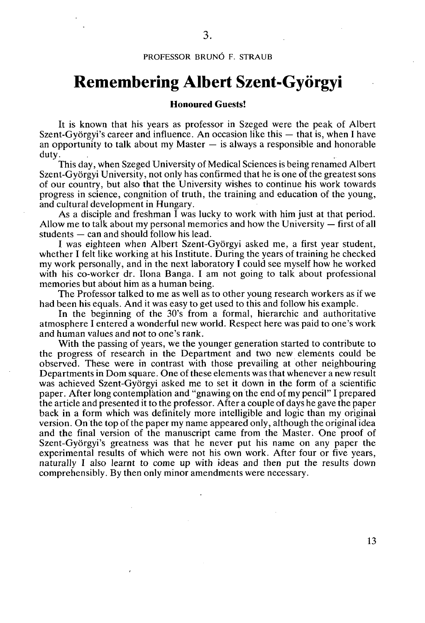## **PROFESSOR BRUNÓ F. STRAUB**

## **Remembering Albert Szent-Györgyi**

## **Honoured Guests!**

It is known that his years as professor in Szeged were the peak of Albert Szent-Györgyi's career and influence. An occasion like this — that is, when I have an opportunity to talk about my Master  $-$  is always a responsible and honorable duty.

This day, when Szeged University of Medical Sciences is being renamed Albert Szent-Györgyi University, not only has confirmed that he is one of the greatest sons of our country, but also that the University wishes to continue his work towards progress in science, congnition of truth, the training and education of the young, and cultural development in Hungary.

As a disciple and freshman I was lucky to work with him just at that period. Allow me to talk about my personal memories and how the University — first of all students — can and should follow his lead.

I was eighteen when Albert Szent-Györgyi asked me, a first year student, whether I felt like working at his Institute. During the years of training he checked my work personally, and in the next laboratory I could see myself how he worked with his co-worker dr. Ilona Banga. I am not going to talk about professional memories but about him as a human being.

The Professor talked to me as well as to other young research workers as if we had been his equals. And it was easy to get used to this and follow his example.

In the beginning of the 30's from a formal, hierarchic and authoritative atmosphere I entered a wonderful new world. Respect here was paid to one's work and human values and not to one's rank.

With the passing of years, we the younger generation started to contribute to the progress of research in the Department and two new elements could be observed. These were in contrast with those prevailing at other neighbouring Departments in Dom square. One of these elements was that whenever a new result was achieved Szent-Györgyi asked me to set it down in the form of a scientific paper. After long contemplation and "gnawing on the end of my pencil" I prepared the article and presented it to the professor. After a couple of days he gave the paper back in a form which was definitely more intelligible and logic than my original version. On the top of the paper my name appeared only, although the original idea and the final version of the manuscript came from the Master. One proof of Szent-Györgyi's greatness was that he never put his name on any paper the experimental results of which were not his own work. After four or five years, naturally I also learnt to come up with ideas and then put the results down comprehensibly. By then only minor amendments were necessary.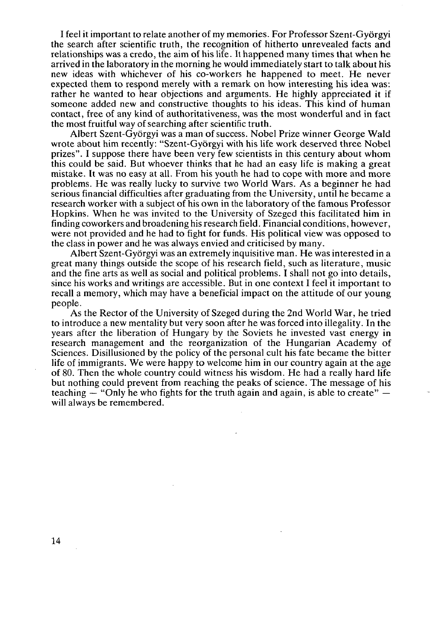I feel it important to relate another of my memories. For Professor Szent-Györgyi the search after scientific truth, the recognition of hitherto unrevealed facts and relationships was a credo, the aim of his life. It happened many times that when he arrived in the laboratory in the morning he would immediately start to talk about his new ideas with whichever of his co-workers he happened to meet. He never expected them to respond merely with a remark on how interesting his idea was: rather he wanted to hear objections and arguments. He highly appreciated it if someone added new and constructive thoughts to his ideas. This kind of human contact, free of any kind of authoritativeness, was the most wonderful and in fact the most fruitful way of searching after scientific truth.

Albert Szent-Györgyi was a man of success. Nobel Prize winner George Wald wrote about him recently: "Szent-Györgyi with his life work deserved three Nobel prizes". I suppose there have been very few scientists in this century about whom this could be said. But whoever thinks that he had an easy life is making a great mistake. It was no easy at all. From his youth he had to cope with more and more problems. He was really lucky to survive two World Wars. As a beginner he had serious financial difficulties after graduating from the University, until he became a research worker with a subject of his own in the laboratory of the famous Professor Hopkins. When he was invited to the University of Szeged this facilitated him in finding coworkers and broadening his research field. Financial conditions, however, were not provided and he had to fight for funds. His political view was opposed to the class in power and he was always envied and criticised by many.

Albert Szent-Györgyi was an extremely inquisitive man. He was interested in a great many things outside the scope of his research field, such as literature, music and the fine arts as well as social and political problems. I shall not go into details, since his works and writings are accessible. But in one context I feel it important to recall a memory, which may have a beneficial impact on the attitude of our young people.

As the Rector of the University of Szeged during the 2nd World War, he tried to introduce a new mentality but very soon after he was forced into illegality. In the years after the liberation of Hungary by the Soviets he invested vast energy in research management and the reorganization of the Hungarian Academy of Sciences. Disillusioned by the policy of the personal cult his fate became the bitter life of immigrants. We were happy to welcome him in our country again at the age of 80. Then the whole country could witness his wisdom. He had a really hard life but nothing could prevent from reaching the peaks of science. The message of his teaching  $-$  "Only he who fights for the truth again and again, is able to create"  $$ will always be remembered.